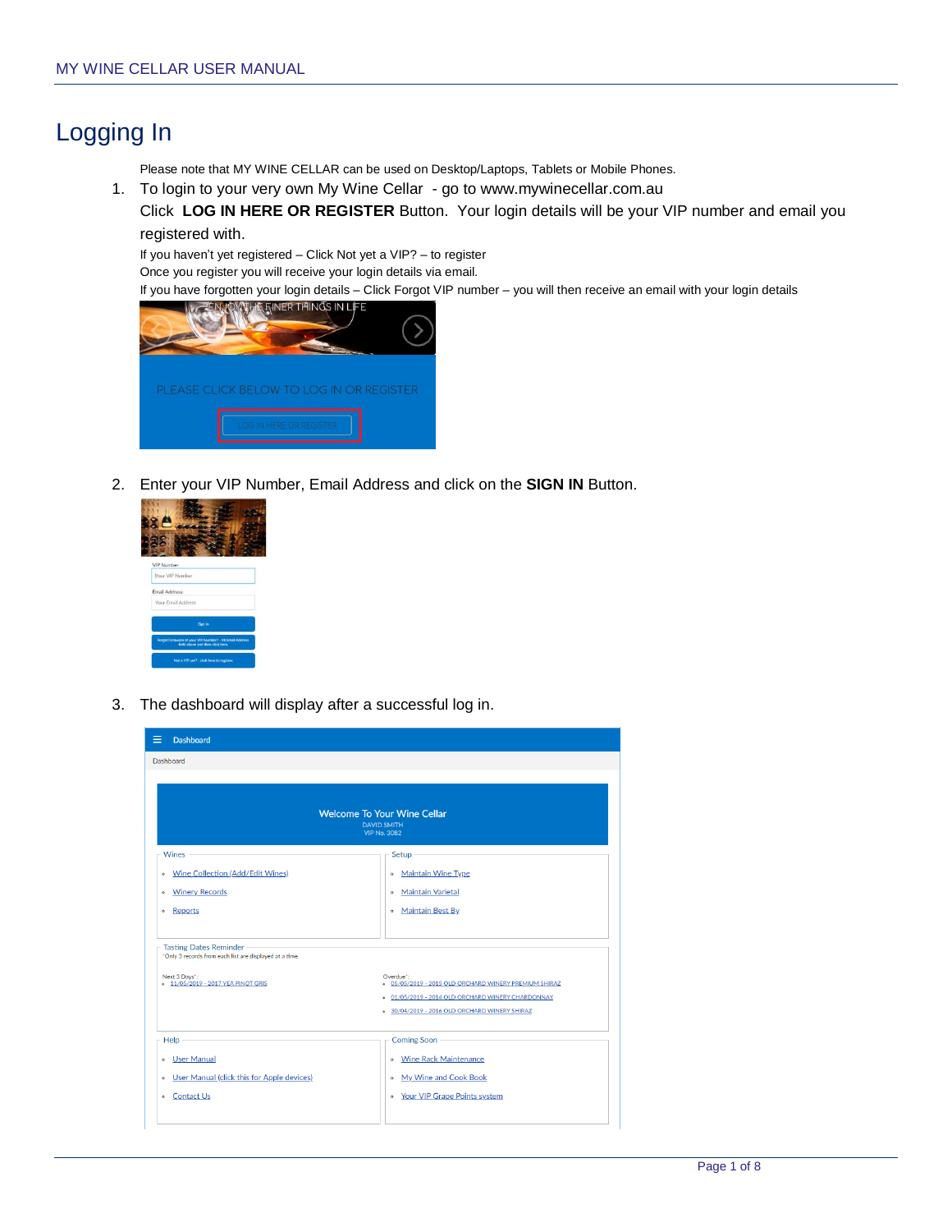# Logging In

Please note that MY WINE CELLAR can be used on Desktop/Laptops, Tablets or Mobile Phones.

1. To login to your very own My Wine Cellar - go to www.mywinecellar.com.au Click **LOG IN HERE OR REGISTER** Button. Your login details will be your VIP number and email you registered with.

If you haven't yet registered – Click Not yet a VIP? – to register

Once you register you will receive your login details via email.

If you have forgotten your login details – Click Forgot VIP number – you will then receive an email with your login details



2. Enter your VIP Number, Email Address and click on the **SIGN IN** Button.

| <b>VIP Number</b> |                                                                                              |
|-------------------|----------------------------------------------------------------------------------------------|
|                   | Nour VIP Number                                                                              |
|                   | Email Address:                                                                               |
|                   | Your Email Address                                                                           |
|                   | Sign in                                                                                      |
|                   | Forgot/Unaware of your VIII Number? - fill Email Address<br>field above and then click here. |
|                   |                                                                                              |

3. The dashboard will display after a successful log in.

| =<br><b>Dashboard</b>                                                                                                                      |                                                                                                                                                                                              |
|--------------------------------------------------------------------------------------------------------------------------------------------|----------------------------------------------------------------------------------------------------------------------------------------------------------------------------------------------|
| Dashboard                                                                                                                                  |                                                                                                                                                                                              |
|                                                                                                                                            | <b>Welcome To Your Wine Cellar</b><br><b>DAVID SMITH</b><br><b>VIP No. 3082</b>                                                                                                              |
| <b>Wines</b>                                                                                                                               | Setup                                                                                                                                                                                        |
| Wine Collection (Add/Edit Wines)<br>$\circ$                                                                                                | <b>Maintain Wine Type</b><br>$\circ$                                                                                                                                                         |
| <b>Winery Records</b><br>$\circ$                                                                                                           | <b>Maintain Varietal</b><br>$\circ$                                                                                                                                                          |
| Reports<br>$\circ$                                                                                                                         | <b>Maintain Best By</b><br>$\circ$                                                                                                                                                           |
| Tasting Dates Reminder -<br>*Only 3 records from each list are displayed at a time.<br>Next 3 Days*:<br>- 11/05/2019 - 2017 YEA PINOT GRIS | Overdue*:<br>o 05/05/2019 - 2015 OLD ORCHARD WINERY PREMIUM SHIRAZ<br>01/05/2019 - 2014 OLD ORCHARD WINERY CHARDONNAY<br>$\circ$<br>30/04/2019 - 2016 OLD ORCHARD WINERY SHIRAZ<br>$\bullet$ |
| Help -                                                                                                                                     | Coming Soon -                                                                                                                                                                                |
| <b>JSer Manual</b>                                                                                                                         | . Wine Rack Maintenance                                                                                                                                                                      |
| User Manual (click this for Apple devices)<br>$\circ$                                                                                      | My Wine and Cook Book                                                                                                                                                                        |
| <b>Contact Us</b><br>$\circ$                                                                                                               | • Your VIP Grape Points system                                                                                                                                                               |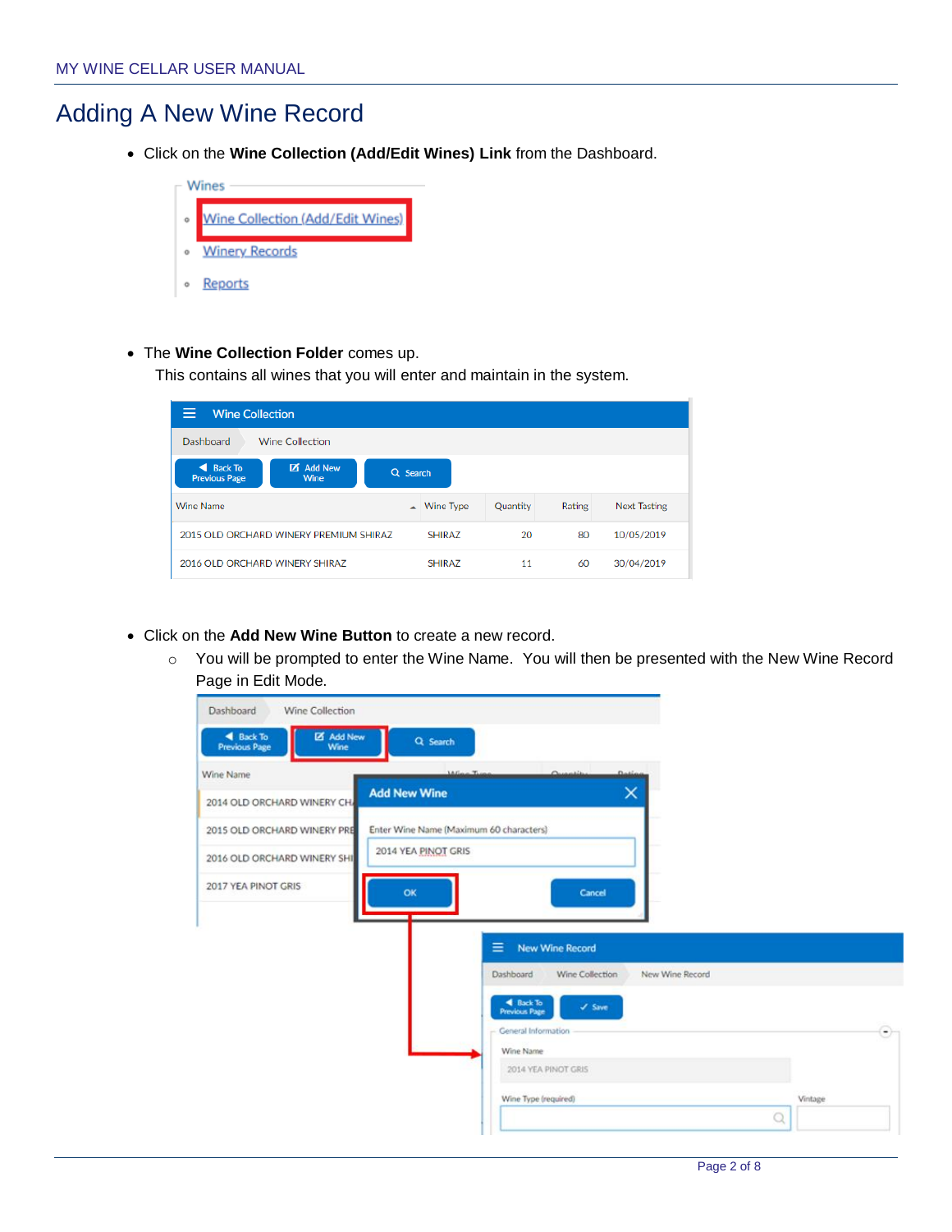### Adding A New Wine Record

Click on the **Wine Collection (Add/Edit Wines) Link** from the Dashboard.



The **Wine Collection Folder** comes up.

This contains all wines that you will enter and maintain in the system.

| <b>Wine Collection</b>                      |                                        |          |                       |                 |        |                     |  |  |
|---------------------------------------------|----------------------------------------|----------|-----------------------|-----------------|--------|---------------------|--|--|
| <b>Wine Collection</b><br>Dashboard         |                                        |          |                       |                 |        |                     |  |  |
| <b>Back To</b><br>◢<br><b>Previous Page</b> | м<br><b>Add New</b><br>Wine            | Q Search |                       |                 |        |                     |  |  |
| <b>Wine Name</b>                            |                                        |          | $\triangle$ Wine Type | <b>Ouantity</b> | Rating | <b>Next Tasting</b> |  |  |
|                                             | 2015 OLD ORCHARD WINERY PREMIUM SHIRAZ |          | <b>SHIRAZ</b>         | 20              | 80     | 10/05/2019          |  |  |
| 2016 OLD ORCHARD WINERY SHIRAZ              |                                        |          | <b>SHIRAZ</b>         | 11              | 60     | 30/04/2019          |  |  |

- Click on the **Add New Wine Button** to create a new record.
	- o You will be prompted to enter the Wine Name. You will then be presented with the New Wine Record Page in Edit Mode.

| <b>Previous Page</b><br>Wine             | Q Search<br><b>Millenge</b> Three-      | Quantity                                                      | Dation          |  |
|------------------------------------------|-----------------------------------------|---------------------------------------------------------------|-----------------|--|
| Wine Name<br>2014 OLD ORCHARD WINERY CH. | <b>Add New Wine</b>                     |                                                               | ×               |  |
| 2015 OLD ORCHARD WINERY PRE              | Enter Wine Name (Maximum 60 characters) |                                                               |                 |  |
| 2016 OLD ORCHARD WINERY SHI              | 2014 YEA PINOT GRIS                     |                                                               |                 |  |
| 2017 YEA PINOT GRIS                      | OK                                      | Cancel                                                        |                 |  |
|                                          |                                         |                                                               |                 |  |
|                                          |                                         |                                                               |                 |  |
|                                          |                                         | Ξ<br><b>New Wine Record</b>                                   |                 |  |
|                                          |                                         | Wine Collection<br>Dashboard                                  | New Wine Record |  |
|                                          |                                         | <b>4</b> Back To<br>$\checkmark$ Save<br><b>Previous Page</b> |                 |  |
|                                          |                                         | General Information                                           |                 |  |
|                                          |                                         | Wine Name<br>2014 YEA PINOT GRIS                              |                 |  |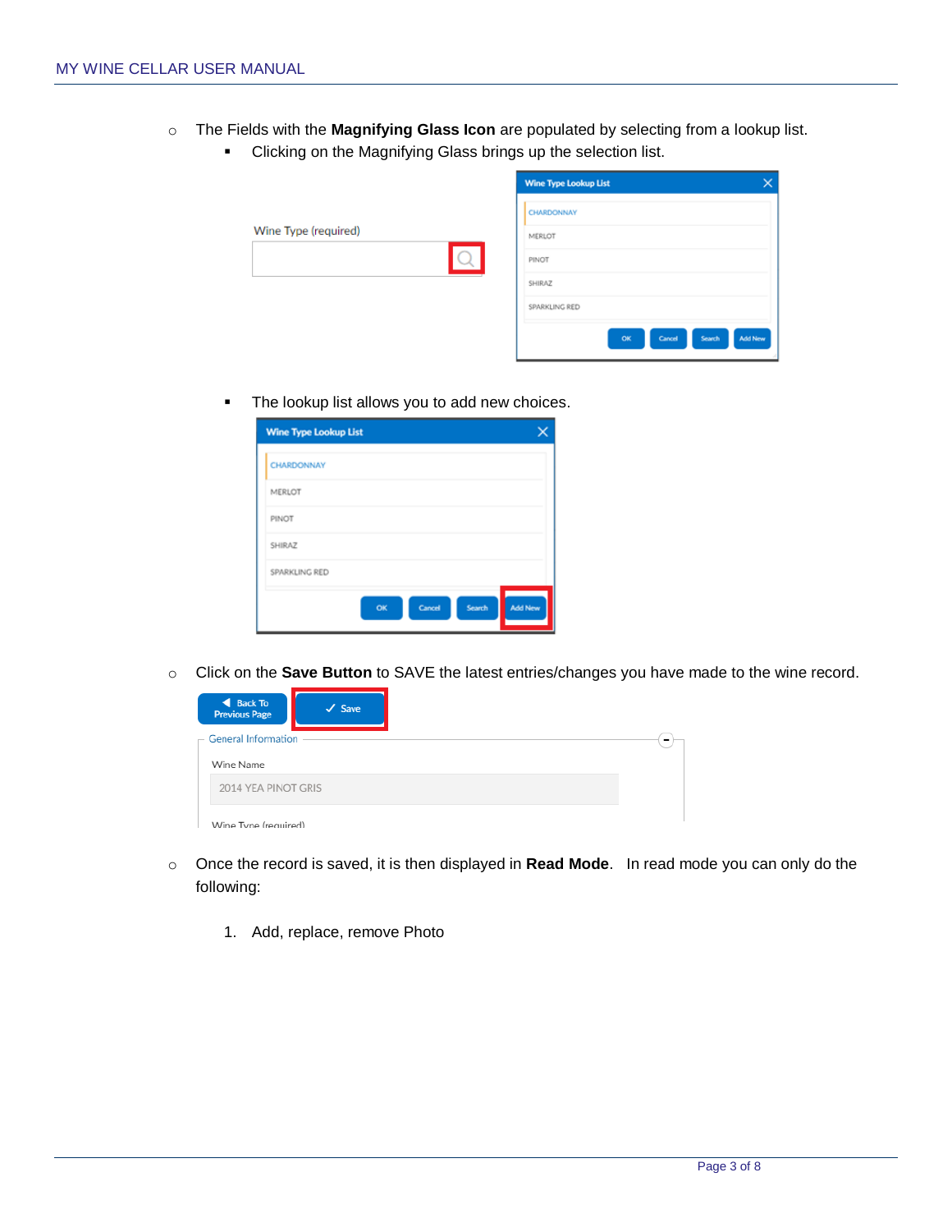- o The Fields with the **Magnifying Glass Icon** are populated by selecting from a lookup list.
	- **EXEC** Clicking on the Magnifying Glass brings up the selection list.

|                      | <b>Wine Type Lookup List</b> |                          |
|----------------------|------------------------------|--------------------------|
|                      | CHARDONNAY                   |                          |
| Wine Type (required) | MERLOT                       |                          |
|                      | PINOT                        |                          |
|                      | SHIRAZ                       |                          |
|                      | SPARKLING RED                |                          |
|                      | Cancel<br>OK                 | <b>Add New</b><br>Search |

**The lookup list allows you to add new choices.** 

| <b>Wine Type Lookup List</b> |    |        |        |                |
|------------------------------|----|--------|--------|----------------|
| CHARDONNAY                   |    |        |        |                |
| MERLOT                       |    |        |        |                |
| PINOT                        |    |        |        |                |
| SHIRAZ                       |    |        |        |                |
| SPARKLING RED                |    |        |        |                |
|                              | OK | Cancel | Search | <b>Add New</b> |

o Click on the **Save Button** to SAVE the latest entries/changes you have made to the wine record.

| ◀ Back To<br><b>Previous Page</b> | $\checkmark$ Save |
|-----------------------------------|-------------------|
| - General Information             |                   |
| Wine Name                         |                   |
| 2014 YEA PINOT GRIS               |                   |
| Wine Tyne (required)              |                   |

- o Once the record is saved, it is then displayed in **Read Mode**. In read mode you can only do the following:
	- 1. Add, replace, remove Photo

 $\overline{\phantom{a}}$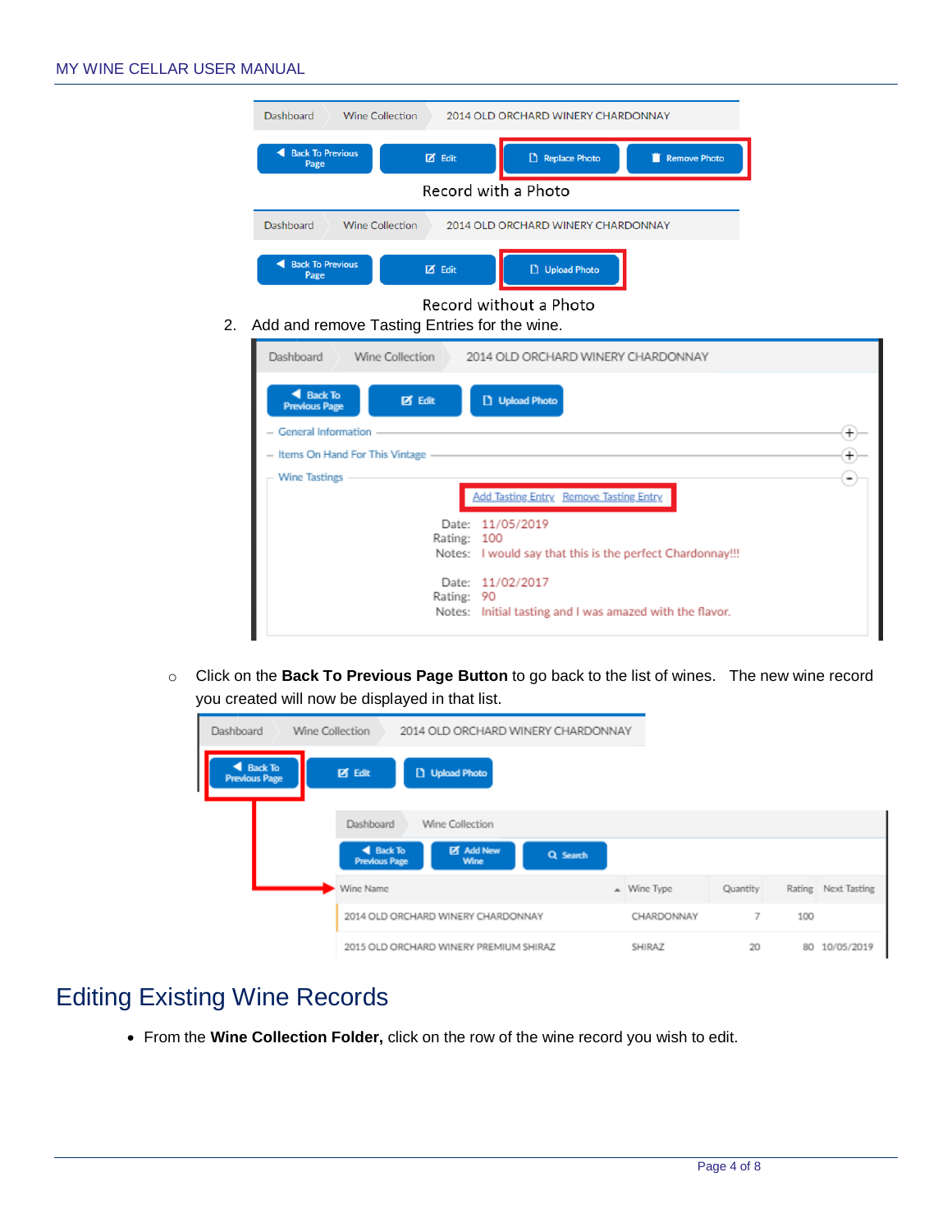

o Click on the **Back To Previous Page Button** to go back to the list of wines. The new wine record you created will now be displayed in that list.

| Wine Collection<br>Dashboard             | 2014 OLD ORCHARD WINERY CHARDONNAY                                               |            |                |                     |
|------------------------------------------|----------------------------------------------------------------------------------|------------|----------------|---------------------|
| <b>4</b> Back To<br><b>Previous Page</b> | <b>区</b> Edit<br>D Upload Photo                                                  |            |                |                     |
|                                          | Dashboard<br>Wine Collection                                                     |            |                |                     |
|                                          | <b>Z</b> Add New<br><b>4</b> Back To<br>Q Search<br><b>Previous Page</b><br>Wine |            |                |                     |
|                                          | Wine Name                                                                        | Mine Type  | Quantity       | Rating Next Tasting |
|                                          | 2014 OLD ORCHARD WINERY CHARDONNAY                                               | CHARDONNAY | $\overline{z}$ | 100                 |
|                                          | 2015 OLD ORCHARD WINERY PREMIUM SHIRAZ                                           | SHIRAZ     | 20             | 10/05/2019<br>80    |

# Editing Existing Wine Records

From the **Wine Collection Folder,** click on the row of the wine record you wish to edit.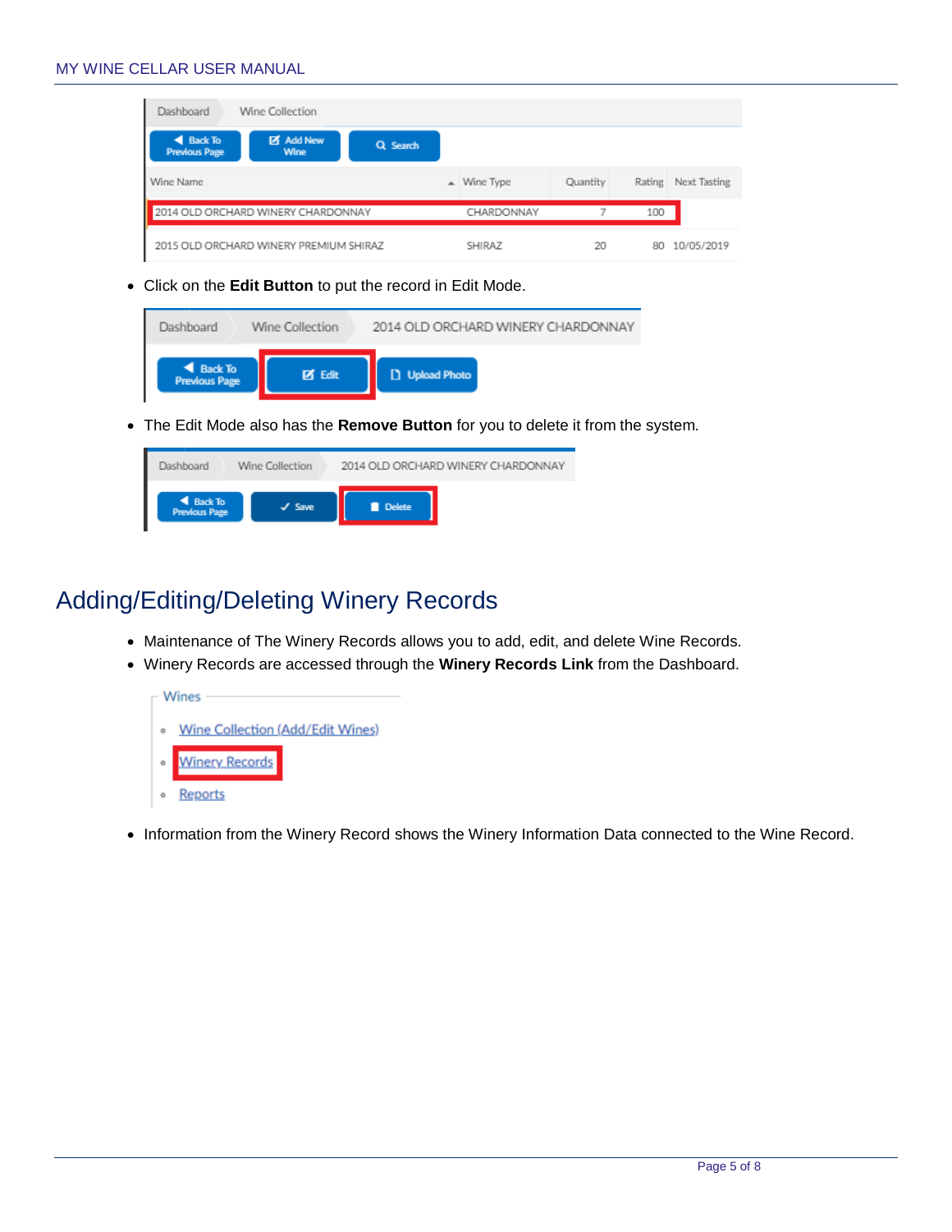#### MY WINE CELLAR USER MANUAL

| Wine Collection<br>Dashboard                                                            |               |          |                        |
|-----------------------------------------------------------------------------------------|---------------|----------|------------------------|
| <b>4</b> Back To<br><b>Z</b> Add New<br>Q Search<br><b>Previous Page</b><br><b>Wine</b> |               |          |                        |
| Wine Name                                                                               | ▲ Wine Type   | Quantity | Next Tasting<br>Rating |
| 2014 OLD ORCHARD WINERY CHARDONNAY                                                      | CHARDONNAY    |          | 100                    |
| 2015 OLD ORCHARD WINERY PREMIUM SHIRAZ                                                  | <b>SHIRAZ</b> | 20       | 10/05/2019<br>80       |

Click on the **Edit Button** to put the record in Edit Mode.

| ◀ Back To<br><b>Previous Page</b> | <b>IZ Edit</b>  | <b>D</b> Upload Photo |                                    |
|-----------------------------------|-----------------|-----------------------|------------------------------------|
| Dashboard                         | Wine Collection |                       | 2014 OLD ORCHARD WINERY CHARDONNAY |

The Edit Mode also has the **Remove Button** for you to delete it from the system.

| Dashboard                                | Wine Collection |        | 2014 OLD ORCHARD WINERY CHARDONNAY |
|------------------------------------------|-----------------|--------|------------------------------------|
| <b>4</b> Back To<br><b>Previous Page</b> | $J$ Save        | Delete |                                    |

# Adding/Editing/Deleting Winery Records

- Maintenance of The Winery Records allows you to add, edit, and delete Wine Records.
- Winery Records are accessed through the **Winery Records Link** from the Dashboard.



Information from the Winery Record shows the Winery Information Data connected to the Wine Record.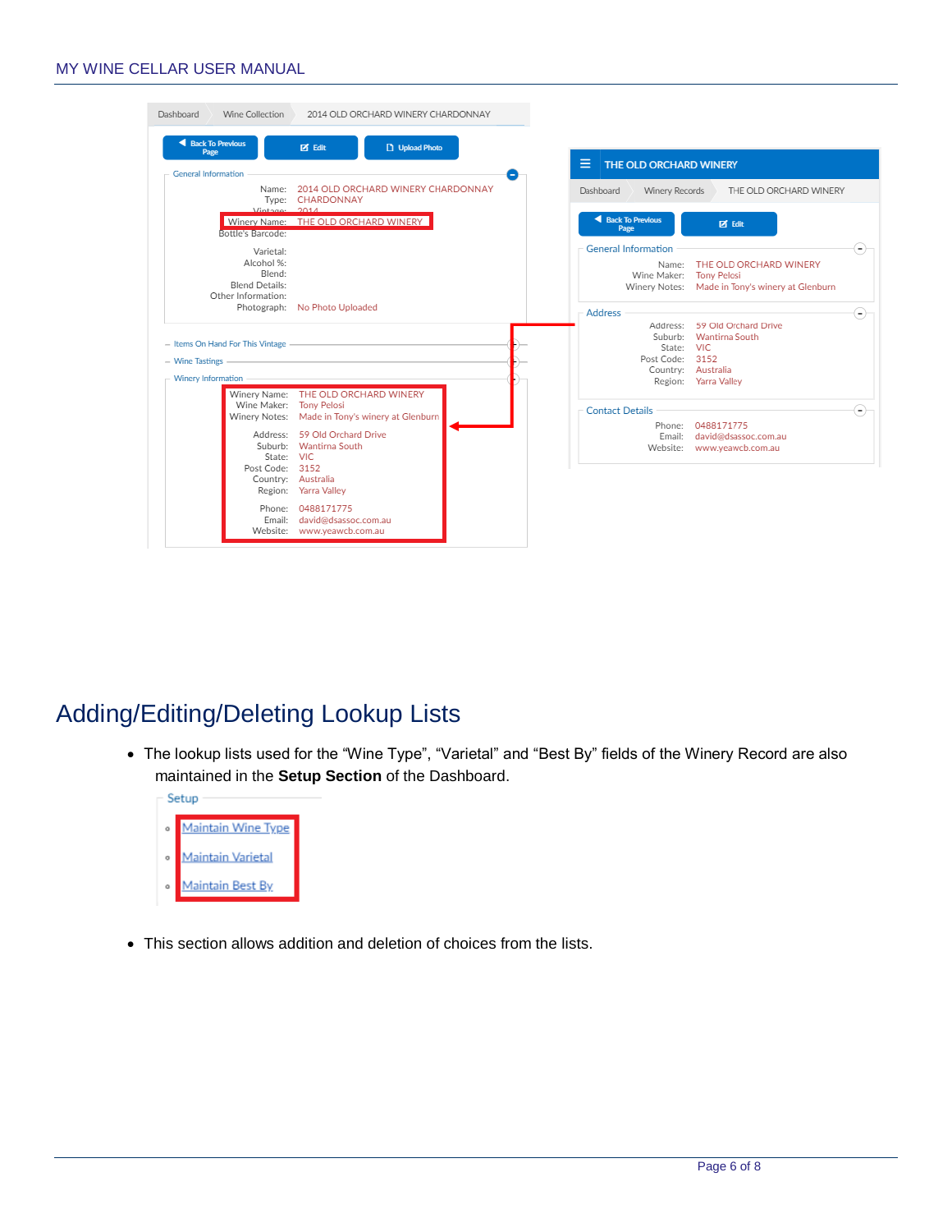#### MY WINE CELLAR USER MANUAL

| Dashboard                         | Wine Collection                                                                  | 2014 OLD ORCHARD WINERY CHARDONNAY                                                                    |                        |                                                    |                                                                                                 |       |
|-----------------------------------|----------------------------------------------------------------------------------|-------------------------------------------------------------------------------------------------------|------------------------|----------------------------------------------------|-------------------------------------------------------------------------------------------------|-------|
| <b>4</b> Back To Previous<br>Page |                                                                                  | <b>区</b> Edit<br>D Upload Photo                                                                       | ≡                      | THE OLD ORCHARD WINERY                             |                                                                                                 |       |
| <b>General Information</b>        | $Vintax^2$ $2014$                                                                | Name: 2014 OLD ORCHARD WINERY CHARDONNAY<br>Type: CHARDONNAY                                          | Dashboard              | Winery Records                                     | THE OLD ORCHARD WINERY                                                                          |       |
|                                   | Bottle's Barcode:                                                                | Winery Name: THE OLD ORCHARD WINERY                                                                   |                        | <b>4</b> Back To Previous<br>Page                  | <b>Z</b> Edit                                                                                   |       |
|                                   | Varietal:<br>Alcohol %:<br>Blend:<br><b>Blend Details:</b><br>Other Information: | Photograph: No Photo Uploaded                                                                         |                        | <b>General Information</b><br>Name:<br>Wine Maker: | THE OLD ORCHARD WINERY<br><b>Tony Pelosi</b><br>Winery Notes: Made in Tony's winery at Glenburn | $(-)$ |
| - Wine Tastings -                 | - Items On Hand For This Vintage -                                               |                                                                                                       | <b>Address</b>         | Suburb:<br>State:<br>Post Code: 3152               | Address: 59 Old Orchard Drive<br>Wantirna South<br><b>VIC</b><br>Country: Australia             | $(-)$ |
| Winery Information                |                                                                                  | Winery Name: THE OLD ORCHARD WINERY                                                                   |                        |                                                    | Region: Yarra Valley                                                                            |       |
|                                   | Wine Maker: Tony Pelosi                                                          | Winery Notes: Made in Tony's winery at Glenburn                                                       | <b>Contact Details</b> |                                                    | Phone: 0488171775                                                                               | $(-)$ |
|                                   | State: VIC<br>Post Code: 3152                                                    | Address: 59 Old Orchard Drive<br>Suburb: Wantirna South<br>Country: Australia<br>Region: Yarra Valley |                        | Email:<br>Website:                                 | david@dsassoc.com.au<br>www.yeawcb.com.au                                                       |       |
|                                   | Email:<br>Website:                                                               | Phone: 0488171775<br>david@dsassoc.com.au<br>www.yeawcb.com.au                                        |                        |                                                    |                                                                                                 |       |

# Adding/Editing/Deleting Lookup Lists

 The lookup lists used for the "Wine Type", "Varietal" and "Best By" fields of the Winery Record are also maintained in the **Setup Section** of the Dashboard.



This section allows addition and deletion of choices from the lists.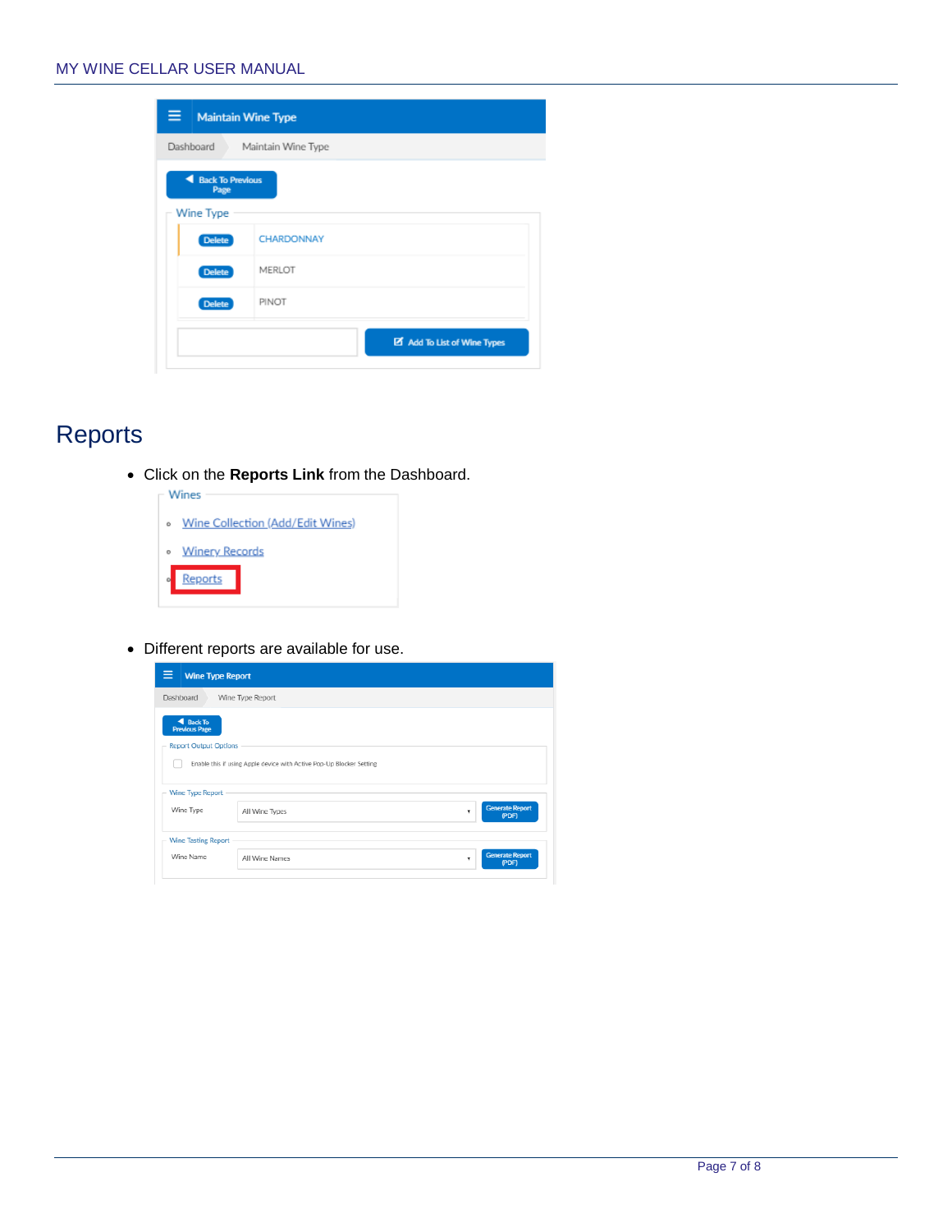| Dashboard<br>Maintain Wine Type                   |            |  |
|---------------------------------------------------|------------|--|
| <b>Back To Previous</b><br>◢<br>Page<br>Wine Type |            |  |
| <b>Delete</b>                                     | CHARDONNAY |  |
| <b>Delete</b>                                     | MERLOT     |  |
| <b>Delete</b>                                     | PINOT      |  |

# **Reports**

Click on the **Reports Link** from the Dashboard.



Different reports are available for use.

| <b>Wine Type Report</b>                                                  |                                                                      |                                      |
|--------------------------------------------------------------------------|----------------------------------------------------------------------|--------------------------------------|
| Dashboard                                                                | Wine Type Report                                                     |                                      |
| <b>4</b> Back To<br><b>Previous Page</b><br><b>Report Output Options</b> |                                                                      |                                      |
|                                                                          | Enable this if using Apple device with Active Pop-Up Blocker Setting |                                      |
| Wine Type Report                                                         |                                                                      |                                      |
| Wine Type                                                                | All Wine Types                                                       | <b>Generate Report</b><br>۰<br>(PDF) |
| <b>Wine Tasting Report</b>                                               |                                                                      |                                      |
| Wine Name                                                                | All Wine Names                                                       | <b>Generate Report</b><br>(PDF)      |